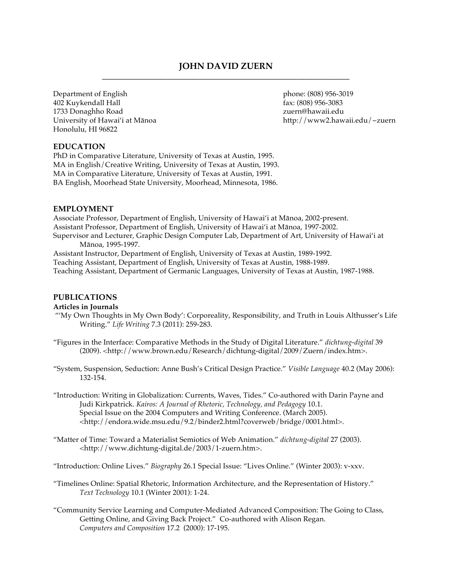# **JOHN DAVID ZUERN \_\_\_\_\_\_\_\_\_\_\_\_\_\_\_\_\_\_\_\_\_\_\_\_\_\_\_\_\_\_\_\_\_\_\_\_\_\_\_\_\_\_\_\_\_\_\_\_\_\_\_\_\_\_\_\_\_\_\_\_\_**

Department of English 402 Kuykendall Hall 1733 Donaghho Road University of Hawai'i at Mānoa Honolulu, HI 96822

phone: (808) 956-3019 fax: (808) 956-3083 zuern@hawaii.edu http://www2.hawaii.edu/~zuern

# **EDUCATION**

PhD in Comparative Literature, University of Texas at Austin, 1995. MA in English/Creative Writing, University of Texas at Austin, 1993. MA in Comparative Literature, University of Texas at Austin, 1991. BA English, Moorhead State University, Moorhead, Minnesota, 1986.

### **EMPLOYMENT**

Associate Professor, Department of English, University of Hawai'i at Mānoa, 2002-present. Assistant Professor, Department of English, University of Hawai'i at Mānoa, 1997-2002. Supervisor and Lecturer, Graphic Design Computer Lab, Department of Art, University of Hawai'i at Mānoa, 1995-1997.

Assistant Instructor, Department of English, University of Texas at Austin, 1989-1992. Teaching Assistant, Department of English, University of Texas at Austin, 1988-1989. Teaching Assistant, Department of Germanic Languages, University of Texas at Austin, 1987-1988.

### **PUBLICATIONS**

### **Articles in Journals**

- "'My Own Thoughts in My Own Body': Corporeality, Responsibility, and Truth in Louis Althusser's Life Writing." *Life Writing* 7.3 (2011): 259-283.
- "Figures in the Interface: Comparative Methods in the Study of Digital Literature." *dichtung-digital* 39 (2009). <http://www.brown.edu/Research/dichtung-digital/2009/Zuern/index.htm>.
- "System, Suspension, Seduction: Anne Bush's Critical Design Practice." *Visible Language* 40.2 (May 2006): 132-154.
- "Introduction: Writing in Globalization: Currents, Waves, Tides." Co-authored with Darin Payne and Judi Kirkpatrick. *Kairos: A Journal of Rhetoric, Technology, and Pedagogy* 10.1. Special Issue on the 2004 Computers and Writing Conference. (March 2005). <http://endora.wide.msu.edu/9.2/binder2.html?coverweb/bridge/0001.html>.
- "Matter of Time: Toward a Materialist Semiotics of Web Animation." *dichtung-digital* 27 (2003). <http://www.dichtung-digital.de/2003/1-zuern.htm>.

"Introduction: Online Lives." *Biography* 26.1 Special Issue: "Lives Online." (Winter 2003): v-xxv.

- "Timelines Online: Spatial Rhetoric, Information Architecture, and the Representation of History." *Text Technology* 10.1 (Winter 2001): 1-24.
- "Community Service Learning and Computer-Mediated Advanced Composition: The Going to Class, Getting Online, and Giving Back Project." Co-authored with Alison Regan. *Computers and Composition* 17.2 (2000): 17-195.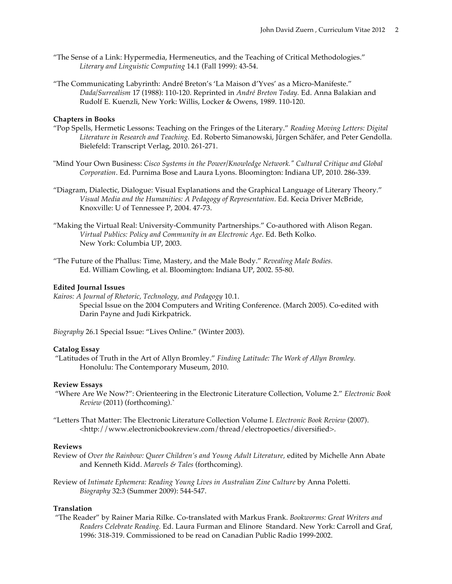- "The Sense of a Link: Hypermedia, Hermeneutics, and the Teaching of Critical Methodologies." *Literary and Linguistic Computing* 14.1 (Fall 1999): 43-54.
- "The Communicating Labyrinth: André Breton's 'La Maison d'Yves' as a Micro-Manifeste." *Dada/Surrealism* 17 (1988): 110-120. Reprinted in *André Breton Today.* Ed. Anna Balakian and Rudolf E. Kuenzli, New York: Willis, Locker & Owens, 1989. 110-120.

## **Chapters in Books**

- "Pop Spells, Hermetic Lessons: Teaching on the Fringes of the Literary." *Reading Moving Letters: Digital Literature in Research and Teaching.* Ed. Roberto Simanowski, Jürgen Schäfer, and Peter Gendolla. Bielefeld: Transcript Verlag, 2010. 261-271.
- "Mind Your Own Business: *Cisco Systems in the Power/Knowledge Network." Cultural Critique and Global Corporation*. Ed. Purnima Bose and Laura Lyons. Bloomington: Indiana UP, 2010. 286-339.
- "Diagram, Dialectic, Dialogue: Visual Explanations and the Graphical Language of Literary Theory." *Visual Media and the Humanities: A Pedagogy of Representation*. Ed. Kecia Driver McBride, Knoxville: U of Tennessee P, 2004. 47-73.
- "Making the Virtual Real: University-Community Partnerships." Co-authored with Alison Regan. *Virtual Publics: Policy and Community in an Electronic Age*. Ed. Beth Kolko. New York: Columbia UP, 2003.
- "The Future of the Phallus: Time, Mastery, and the Male Body." *Revealing Male Bodies.* Ed. William Cowling, et al. Bloomington: Indiana UP, 2002. 55-80.

#### **Edited Journal Issues**

*Kairos: A Journal of Rhetoric, Technology, and Pedagogy* 10.1. Special Issue on the 2004 Computers and Writing Conference. (March 2005). Co-edited with Darin Payne and Judi Kirkpatrick.

*Biography* 26.1 Special Issue: "Lives Online." (Winter 2003).

#### **Catalog Essay**

 "Latitudes of Truth in the Art of Allyn Bromley." *Finding Latitude: The Work of Allyn Bromley.* Honolulu: The Contemporary Museum, 2010.

#### **Review Essays**

- "Where Are We Now?": Orienteering in the Electronic Literature Collection, Volume 2." *Electronic Book Review* (2011) (forthcoming).`
- "Letters That Matter: The Electronic Literature Collection Volume I. *Electronic Book Review* (2007). <http://www.electronicbookreview.com/thread/electropoetics/diversified>.

### **Reviews**

- Review of *Over the Rainbow: Queer Children's and Young Adult Literature,* edited by Michelle Ann Abate and Kenneth Kidd. *Marvels & Tales* (forthcoming).
- Review of *Intimate Ephemera: Reading Young Lives in Australian Zine Culture* by Anna Poletti. *Biography* 32:3 (Summer 2009): 544-547.

#### **Translation**

 "The Reader" by Rainer Maria Rilke. Co-translated with Markus Frank. *Bookworms: Great Writers and Readers Celebrate Reading.* Ed. Laura Furman and Elinore Standard. New York: Carroll and Graf, 1996: 318-319. Commissioned to be read on Canadian Public Radio 1999-2002.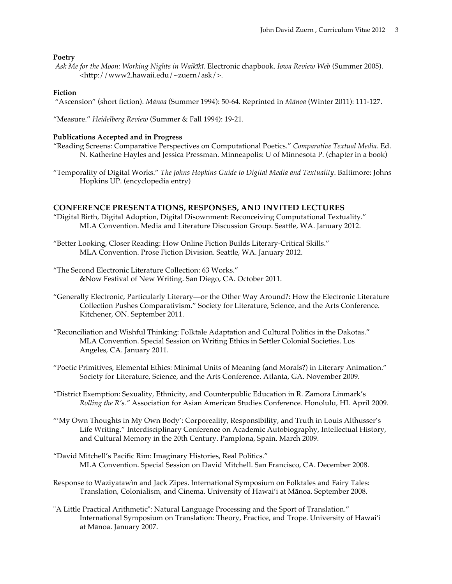#### **Poetry**

*Ask Me for the Moon: Working Nights in Waikīkī.* Electronic chapbook. *Iowa Review Web* (Summer 2005). <http://www2.hawaii.edu/~zuern/ask/>.

#### **Fiction**

"Ascension" (short fiction). *Mānoa* (Summer 1994): 50-64. Reprinted in *Mānoa* (Winter 2011): 111-127.

"Measure." *Heidelberg Review* (Summer & Fall 1994): 19-21.

#### **Publications Accepted and in Progress**

- "Reading Screens: Comparative Perspectives on Computational Poetics." *Comparative Textual Media*. Ed. N. Katherine Hayles and Jessica Pressman. Minneapolis: U of Minnesota P. (chapter in a book)
- "Temporality of Digital Works." *The Johns Hopkins Guide to Digital Media and Textuality*. Baltimore: Johns Hopkins UP. (encyclopedia entry)

### **CONFERENCE PRESENTATIONS, RESPONSES, AND INVITED LECTURES**

- "Digital Birth, Digital Adoption, Digital Disownment: Reconceiving Computational Textuality." MLA Convention. Media and Literature Discussion Group. Seattle, WA. January 2012.
- "Better Looking, Closer Reading: How Online Fiction Builds Literary-Critical Skills." MLA Convention. Prose Fiction Division. Seattle, WA. January 2012.
- "The Second Electronic Literature Collection: 63 Works." &Now Festival of New Writing. San Diego, CA. October 2011.
- "Generally Electronic, Particularly Literary—or the Other Way Around?: How the Electronic Literature Collection Pushes Comparativism." Society for Literature, Science, and the Arts Conference. Kitchener, ON. September 2011.
- "Reconciliation and Wishful Thinking: Folktale Adaptation and Cultural Politics in the Dakotas." MLA Convention. Special Session on Writing Ethics in Settler Colonial Societies. Los Angeles, CA. January 2011.
- "Poetic Primitives, Elemental Ethics: Minimal Units of Meaning (and Morals?) in Literary Animation." Society for Literature, Science, and the Arts Conference. Atlanta, GA. November 2009.
- "District Exemption: Sexuality, Ethnicity, and Counterpublic Education in R. Zamora Linmark's *Rolling the R's."* Association for Asian American Studies Conference. Honolulu, HI. April 2009.
- "'My Own Thoughts in My Own Body': Corporeality, Responsibility, and Truth in Louis Althusser's Life Writing." Interdisciplinary Conference on Academic Autobiography, Intellectual History, and Cultural Memory in the 20th Century. Pamplona, Spain. March 2009.
- "David Mitchell's Pacific Rim: Imaginary Histories, Real Politics." MLA Convention. Special Session on David Mitchell. San Francisco, CA. December 2008.
- Response to Waziyatawìn and Jack Zipes. International Symposium on Folktales and Fairy Tales: Translation, Colonialism, and Cinema. University of Hawai'i at Mānoa. September 2008.
- "A Little Practical Arithmetic": Natural Language Processing and the Sport of Translation." International Symposium on Translation: Theory, Practice, and Trope. University of Hawai'i at Mānoa. January 2007.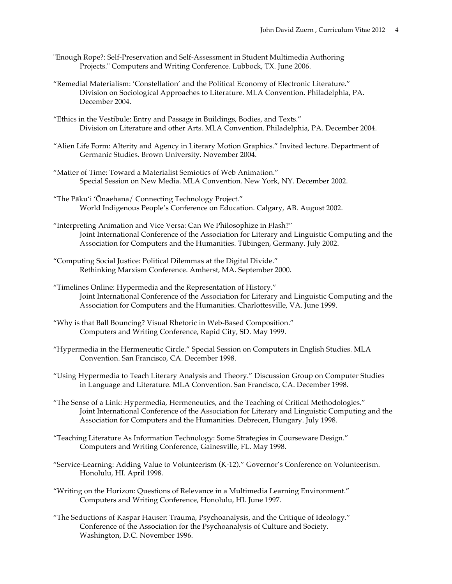- "Enough Rope?: Self-Preservation and Self-Assessment in Student Multimedia Authoring Projects." Computers and Writing Conference. Lubbock, TX. June 2006.
- "Remedial Materialism: 'Constellation' and the Political Economy of Electronic Literature." Division on Sociological Approaches to Literature. MLA Convention. Philadelphia, PA. December 2004.
- "Ethics in the Vestibule: Entry and Passage in Buildings, Bodies, and Texts." Division on Literature and other Arts. MLA Convention. Philadelphia, PA. December 2004.
- "Alien Life Form: Alterity and Agency in Literary Motion Graphics." Invited lecture. Department of Germanic Studies. Brown University. November 2004.
- "Matter of Time: Toward a Materialist Semiotics of Web Animation." Special Session on New Media. MLA Convention. New York, NY. December 2002.
- "The Pāku'i 'Ōnaehana/ Connecting Technology Project." World Indigenous People's Conference on Education. Calgary, AB. August 2002.
- "Interpreting Animation and Vice Versa: Can We Philosophize in Flash?" Joint International Conference of the Association for Literary and Linguistic Computing and the Association for Computers and the Humanities. Tübingen, Germany. July 2002.
- "Computing Social Justice: Political Dilemmas at the Digital Divide." Rethinking Marxism Conference. Amherst, MA. September 2000.
- "Timelines Online: Hypermedia and the Representation of History." Joint International Conference of the Association for Literary and Linguistic Computing and the Association for Computers and the Humanities. Charlottesville, VA. June 1999.
- "Why is that Ball Bouncing? Visual Rhetoric in Web-Based Composition." Computers and Writing Conference, Rapid City, SD. May 1999.
- "Hypermedia in the Hermeneutic Circle." Special Session on Computers in English Studies. MLA Convention. San Francisco, CA. December 1998.
- "Using Hypermedia to Teach Literary Analysis and Theory." Discussion Group on Computer Studies in Language and Literature. MLA Convention. San Francisco, CA. December 1998.
- "The Sense of a Link: Hypermedia, Hermeneutics, and the Teaching of Critical Methodologies." Joint International Conference of the Association for Literary and Linguistic Computing and the Association for Computers and the Humanities. Debrecen, Hungary. July 1998.
- "Teaching Literature As Information Technology: Some Strategies in Courseware Design." Computers and Writing Conference, Gainesville, FL. May 1998.
- "Service-Learning: Adding Value to Volunteerism (K-12)." Governor's Conference on Volunteerism. Honolulu, HI. April 1998.
- "Writing on the Horizon: Questions of Relevance in a Multimedia Learning Environment." Computers and Writing Conference, Honolulu, HI. June 1997.
- "The Seductions of Kaspar Hauser: Trauma, Psychoanalysis, and the Critique of Ideology." Conference of the Association for the Psychoanalysis of Culture and Society. Washington, D.C. November 1996.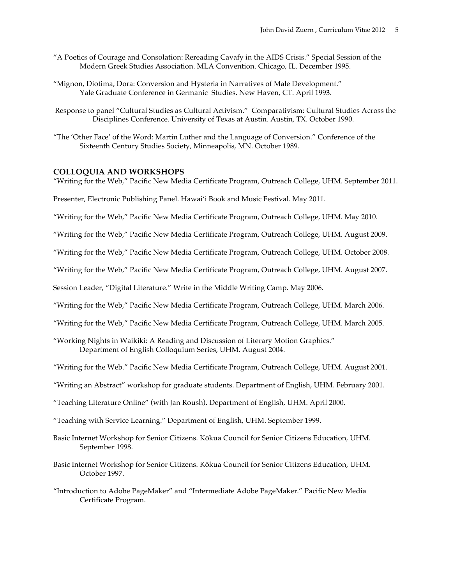- "A Poetics of Courage and Consolation: Rereading Cavafy in the AIDS Crisis." Special Session of the Modern Greek Studies Association. MLA Convention. Chicago, IL. December 1995.
- "Mignon, Diotima, Dora: Conversion and Hysteria in Narratives of Male Development." Yale Graduate Conference in Germanic Studies. New Haven, CT. April 1993.
- Response to panel "Cultural Studies as Cultural Activism." Comparativism: Cultural Studies Across the Disciplines Conference. University of Texas at Austin. Austin, TX. October 1990.
- "The 'Other Face' of the Word: Martin Luther and the Language of Conversion." Conference of the Sixteenth Century Studies Society, Minneapolis, MN. October 1989.

### **COLLOQUIA AND WORKSHOPS**

"Writing for the Web," Pacific New Media Certificate Program, Outreach College, UHM. September 2011.

Presenter, Electronic Publishing Panel. Hawai'i Book and Music Festival. May 2011.

"Writing for the Web," Pacific New Media Certificate Program, Outreach College, UHM. May 2010.

"Writing for the Web," Pacific New Media Certificate Program, Outreach College, UHM. August 2009.

"Writing for the Web," Pacific New Media Certificate Program, Outreach College, UHM. October 2008.

"Writing for the Web," Pacific New Media Certificate Program, Outreach College, UHM. August 2007.

Session Leader, "Digital Literature." Write in the Middle Writing Camp. May 2006.

"Writing for the Web," Pacific New Media Certificate Program, Outreach College, UHM. March 2006.

"Writing for the Web," Pacific New Media Certificate Program, Outreach College, UHM. March 2005.

"Working Nights in Waikiki: A Reading and Discussion of Literary Motion Graphics." Department of English Colloquium Series, UHM. August 2004.

"Writing for the Web." Pacific New Media Certificate Program, Outreach College, UHM. August 2001.

"Writing an Abstract" workshop for graduate students. Department of English, UHM. February 2001.

"Teaching Literature Online" (with Jan Roush). Department of English, UHM. April 2000.

"Teaching with Service Learning." Department of English, UHM. September 1999.

- Basic Internet Workshop for Senior Citizens. Kōkua Council for Senior Citizens Education, UHM. September 1998.
- Basic Internet Workshop for Senior Citizens. Kōkua Council for Senior Citizens Education, UHM. October 1997.
- "Introduction to Adobe PageMaker" and "Intermediate Adobe PageMaker." Pacific New Media Certificate Program.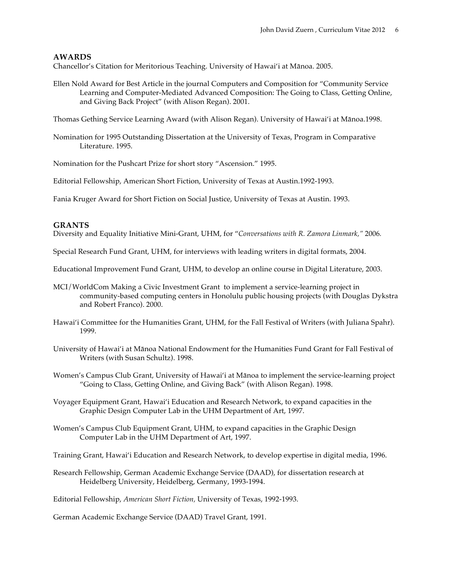## **AWARDS**

Chancellor's Citation for Meritorious Teaching. University of Hawai'i at Mānoa. 2005.

Ellen Nold Award for Best Article in the journal Computers and Composition for "Community Service Learning and Computer-Mediated Advanced Composition: The Going to Class, Getting Online, and Giving Back Project" (with Alison Regan). 2001.

Thomas Gething Service Learning Award (with Alison Regan). University of Hawai'i at Mānoa.1998.

Nomination for 1995 Outstanding Dissertation at the University of Texas, Program in Comparative Literature. 1995.

Nomination for the Pushcart Prize for short story "Ascension." 1995.

Editorial Fellowship, American Short Fiction, University of Texas at Austin.1992-1993.

Fania Kruger Award for Short Fiction on Social Justice, University of Texas at Austin. 1993.

### **GRANTS**

Diversity and Equality Initiative Mini-Grant, UHM, for "*Conversations with R. Zamora Linmark,"* 2006*.*

Special Research Fund Grant, UHM, for interviews with leading writers in digital formats, 2004.

Educational Improvement Fund Grant, UHM, to develop an online course in Digital Literature, 2003.

- MCI/WorldCom Making a Civic Investment Grant to implement a service-learning project in community-based computing centers in Honolulu public housing projects (with Douglas Dykstra and Robert Franco). 2000.
- Hawai'i Committee for the Humanities Grant, UHM, for the Fall Festival of Writers (with Juliana Spahr). 1999.
- University of Hawai'i at Mānoa National Endowment for the Humanities Fund Grant for Fall Festival of Writers (with Susan Schultz). 1998.

Women's Campus Club Grant, University of Hawai'i at Mānoa to implement the service-learning project "Going to Class, Getting Online, and Giving Back" (with Alison Regan). 1998.

- Voyager Equipment Grant, Hawai'i Education and Research Network, to expand capacities in the Graphic Design Computer Lab in the UHM Department of Art, 1997.
- Women's Campus Club Equipment Grant, UHM, to expand capacities in the Graphic Design Computer Lab in the UHM Department of Art, 1997.

Training Grant, Hawai'i Education and Research Network, to develop expertise in digital media, 1996.

Research Fellowship, German Academic Exchange Service (DAAD), for dissertation research at Heidelberg University, Heidelberg, Germany, 1993-1994.

Editorial Fellowship, *American Short Fiction,* University of Texas, 1992-1993.

German Academic Exchange Service (DAAD) Travel Grant, 1991.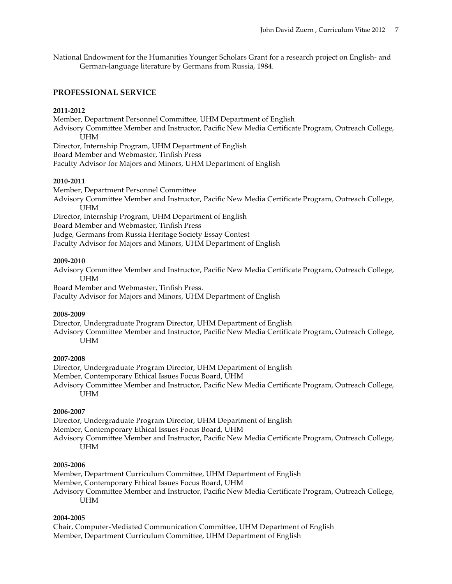National Endowment for the Humanities Younger Scholars Grant for a research project on English- and German-language literature by Germans from Russia, 1984.

### **PROFESSIONAL SERVICE**

#### **2011-2012**

Member, Department Personnel Committee, UHM Department of English Advisory Committee Member and Instructor, Pacific New Media Certificate Program, Outreach College, UHM Director, Internship Program, UHM Department of English Board Member and Webmaster, Tinfish Press Faculty Advisor for Majors and Minors, UHM Department of English

#### **2010-2011**

Member, Department Personnel Committee Advisory Committee Member and Instructor, Pacific New Media Certificate Program, Outreach College, UHM Director, Internship Program, UHM Department of English

Board Member and Webmaster, Tinfish Press

Judge, Germans from Russia Heritage Society Essay Contest

Faculty Advisor for Majors and Minors, UHM Department of English

#### **2009-2010**

Advisory Committee Member and Instructor, Pacific New Media Certificate Program, Outreach College, UHM

Board Member and Webmaster, Tinfish Press. Faculty Advisor for Majors and Minors, UHM Department of English

### **2008-2009**

Director, Undergraduate Program Director, UHM Department of English Advisory Committee Member and Instructor, Pacific New Media Certificate Program, Outreach College, UHM

#### **2007-2008**

Director, Undergraduate Program Director, UHM Department of English Member, Contemporary Ethical Issues Focus Board, UHM Advisory Committee Member and Instructor, Pacific New Media Certificate Program, Outreach College, UHM

### **2006-2007**

Director, Undergraduate Program Director, UHM Department of English

Member, Contemporary Ethical Issues Focus Board, UHM

Advisory Committee Member and Instructor, Pacific New Media Certificate Program, Outreach College, UHM

#### **2005-2006**

Member, Department Curriculum Committee, UHM Department of English

- Member, Contemporary Ethical Issues Focus Board, UHM
- Advisory Committee Member and Instructor, Pacific New Media Certificate Program, Outreach College, UHM

### **2004-2005**

Chair, Computer-Mediated Communication Committee, UHM Department of English Member, Department Curriculum Committee, UHM Department of English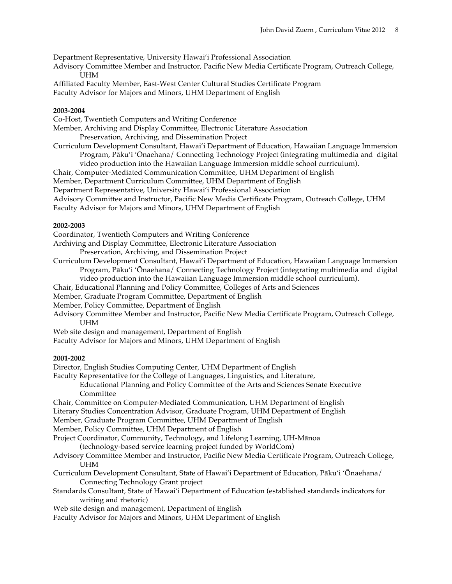Department Representative, University Hawai'i Professional Association

Advisory Committee Member and Instructor, Pacific New Media Certificate Program, Outreach College, UHM

Affiliated Faculty Member, East-West Center Cultural Studies Certificate Program

Faculty Advisor for Majors and Minors, UHM Department of English

### **2003-2004**

Co-Host, Twentieth Computers and Writing Conference

Member, Archiving and Display Committee, Electronic Literature Association

Preservation, Archiving, and Dissemination Project

Curriculum Development Consultant, Hawai'i Department of Education, Hawaiian Language Immersion Program, Pāku'i 'Ōnaehana/ Connecting Technology Project (integrating multimedia and digital video production into the Hawaiian Language Immersion middle school curriculum).

Chair, Computer-Mediated Communication Committee, UHM Department of English

Member, Department Curriculum Committee, UHM Department of English

Department Representative, University Hawai'i Professional Association

Advisory Committee and Instructor, Pacific New Media Certificate Program, Outreach College, UHM

Faculty Advisor for Majors and Minors, UHM Department of English

### **2002-2003**

Coordinator, Twentieth Computers and Writing Conference

Archiving and Display Committee, Electronic Literature Association

Preservation, Archiving, and Dissemination Project

Curriculum Development Consultant, Hawai'i Department of Education, Hawaiian Language Immersion Program, Pāku'i 'Ōnaehana/ Connecting Technology Project (integrating multimedia and digital video production into the Hawaiian Language Immersion middle school curriculum).

Chair, Educational Planning and Policy Committee, Colleges of Arts and Sciences

Member, Graduate Program Committee, Department of English

Member, Policy Committee, Department of English

Advisory Committee Member and Instructor, Pacific New Media Certificate Program, Outreach College, UHM

- Web site design and management, Department of English
- Faculty Advisor for Majors and Minors, UHM Department of English

# **2001-2002**

Director, English Studies Computing Center, UHM Department of English

Faculty Representative for the College of Languages, Linguistics, and Literature,

Educational Planning and Policy Committee of the Arts and Sciences Senate Executive **Committee** 

Chair, Committee on Computer-Mediated Communication, UHM Department of English

Literary Studies Concentration Advisor, Graduate Program, UHM Department of English

Member, Graduate Program Committee, UHM Department of English

Member, Policy Committee, UHM Department of English

Project Coordinator, Community, Technology, and Lifelong Learning, UH-Mānoa

(technology-based service learning project funded by WorldCom)

- Advisory Committee Member and Instructor, Pacific New Media Certificate Program, Outreach College, UHM
- Curriculum Development Consultant, State of Hawai'i Department of Education, Pāku'i 'Ōnaehana/ Connecting Technology Grant project

Standards Consultant, State of Hawai'i Department of Education (established standards indicators for writing and rhetoric)

Web site design and management, Department of English

Faculty Advisor for Majors and Minors, UHM Department of English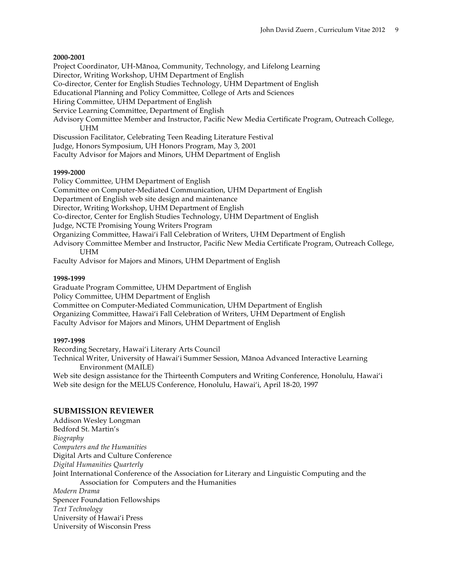### **2000-2001**

Project Coordinator, UH-Mānoa, Community, Technology, and Lifelong Learning

Director, Writing Workshop, UHM Department of English

Co-director, Center for English Studies Technology, UHM Department of English

Educational Planning and Policy Committee, College of Arts and Sciences

Hiring Committee, UHM Department of English

Service Learning Committee, Department of English

Advisory Committee Member and Instructor, Pacific New Media Certificate Program, Outreach College, **I**IHM

Discussion Facilitator, Celebrating Teen Reading Literature Festival

Judge, Honors Symposium, UH Honors Program, May 3, 2001

Faculty Advisor for Majors and Minors, UHM Department of English

### **1999-2000**

Policy Committee, UHM Department of English Committee on Computer-Mediated Communication, UHM Department of English Department of English web site design and maintenance Director, Writing Workshop, UHM Department of English Co-director, Center for English Studies Technology, UHM Department of English Judge, NCTE Promising Young Writers Program Organizing Committee, Hawai'i Fall Celebration of Writers, UHM Department of English Advisory Committee Member and Instructor, Pacific New Media Certificate Program, Outreach College, **UHM** Faculty Advisor for Majors and Minors, UHM Department of English

### **1998-1999**

Graduate Program Committee, UHM Department of English Policy Committee, UHM Department of English Committee on Computer-Mediated Communication, UHM Department of English Organizing Committee, Hawai'i Fall Celebration of Writers, UHM Department of English Faculty Advisor for Majors and Minors, UHM Department of English

### **1997-1998**

Recording Secretary, Hawai'i Literary Arts Council Technical Writer, University of Hawai'i Summer Session, Mānoa Advanced Interactive Learning Environment (MAILE) Web site design assistance for the Thirteenth Computers and Writing Conference, Honolulu, Hawai'i Web site design for the MELUS Conference, Honolulu, Hawai'i, April 18-20, 1997

# **SUBMISSION REVIEWER**

Addison Wesley Longman Bedford St. Martin's *Biography Computers and the Humanities* Digital Arts and Culture Conference *Digital Humanities Quarterly* Joint International Conference of the Association for Literary and Linguistic Computing and the Association for Computers and the Humanities *Modern Drama* Spencer Foundation Fellowships *Text Technology* University of Hawai'i Press

University of Wisconsin Press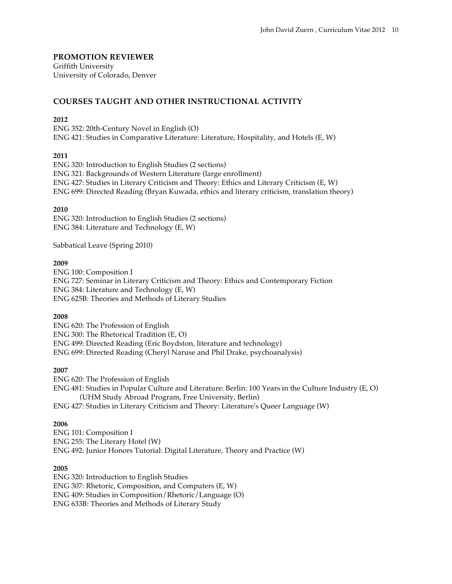# **PROMOTION REVIEWER**

Griffith University University of Colorado, Denver

# **COURSES TAUGHT AND OTHER INSTRUCTIONAL ACTIVITY**

### **2012**

ENG 352: 20th-Century Novel in English (O) ENG 421: Studies in Comparative Literature: Literature, Hospitality, and Hotels (E, W)

### **2011**

ENG 320: Introduction to English Studies (2 sections) ENG 321: Backgrounds of Western Literature (large enrollment) ENG 427: Studies in Literary Criticism and Theory: Ethics and Literary Criticism (E, W) ENG 699: Directed Reading (Bryan Kuwada, ethics and literary criticism, translation theory)

# **2010**

ENG 320: Introduction to English Studies (2 sections) ENG 384: Literature and Technology (E, W)

Sabbatical Leave (Spring 2010)

### **2009**

ENG 100: Composition I ENG 727: Seminar in Literary Criticism and Theory: Ethics and Contemporary Fiction ENG 384: Literature and Technology (E, W) ENG 625B: Theories and Methods of Literary Studies

# **2008**

ENG 620: The Profession of English ENG 300: The Rhetorical Tradition (E, O) ENG 499: Directed Reading (Eric Boydston, literature and technology) ENG 699: Directed Reading (Cheryl Naruse and Phil Drake, psychoanalysis)

# **2007**

ENG 620: The Profession of English

ENG 481: Studies in Popular Culture and Literature: Berlin: 100 Years in the Culture Industry (E, O) (UHM Study Abroad Program, Free University, Berlin)

ENG 427: Studies in Literary Criticism and Theory: Literature's Queer Language (W)

# **2006**

ENG 101: Composition I ENG 255: The Literary Hotel (W) ENG 492: Junior Honors Tutorial: Digital Literature, Theory and Practice (W)

# **2005**

ENG 320: Introduction to English Studies ENG 307: Rhetoric, Composition, and Computers (E, W) ENG 409: Studies in Composition/Rhetoric/Language (O) ENG 633B: Theories and Methods of Literary Study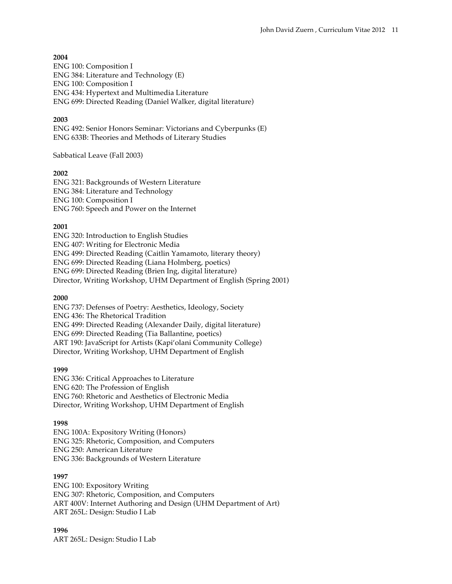### **2004**

ENG 100: Composition I ENG 384: Literature and Technology (E) ENG 100: Composition I ENG 434: Hypertext and Multimedia Literature ENG 699: Directed Reading (Daniel Walker, digital literature)

### **2003**

ENG 492: Senior Honors Seminar: Victorians and Cyberpunks (E) ENG 633B: Theories and Methods of Literary Studies

### Sabbatical Leave (Fall 2003)

### **2002**

ENG 321: Backgrounds of Western Literature ENG 384: Literature and Technology ENG 100: Composition I ENG 760: Speech and Power on the Internet

### **2001**

ENG 320: Introduction to English Studies ENG 407: Writing for Electronic Media ENG 499: Directed Reading (Caitlin Yamamoto, literary theory) ENG 699: Directed Reading (Liana Holmberg, poetics) ENG 699: Directed Reading (Brien Ing, digital literature) Director, Writing Workshop, UHM Department of English (Spring 2001)

### **2000**

ENG 737: Defenses of Poetry: Aesthetics, Ideology, Society ENG 436: The Rhetorical Tradition ENG 499: Directed Reading (Alexander Daily, digital literature) ENG 699: Directed Reading (Tia Ballantine, poetics) ART 190: JavaScript for Artists (Kapi'olani Community College) Director, Writing Workshop, UHM Department of English

### **1999**

ENG 336: Critical Approaches to Literature ENG 620: The Profession of English ENG 760: Rhetoric and Aesthetics of Electronic Media Director, Writing Workshop, UHM Department of English

### **1998**

ENG 100A: Expository Writing (Honors) ENG 325: Rhetoric, Composition, and Computers ENG 250: American Literature ENG 336: Backgrounds of Western Literature

### **1997**

ENG 100: Expository Writing ENG 307: Rhetoric, Composition, and Computers ART 400V: Internet Authoring and Design (UHM Department of Art) ART 265L: Design: Studio I Lab

### **1996**

ART 265L: Design: Studio I Lab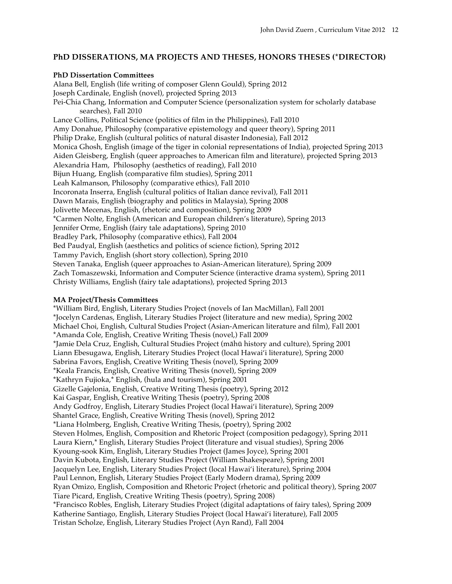# **PhD DISSERATIONS, MA PROJECTS AND THESES, HONORS THESES (\*DIRECTOR)**

### **PhD Dissertation Committees**

Alana Bell, English (life writing of composer Glenn Gould), Spring 2012 Joseph Cardinale, English (novel), projected Spring 2013 Pei-Chia Chang, Information and Computer Science (personalization system for scholarly database searches), Fall 2010 Lance Collins, Political Science (politics of film in the Philippines), Fall 2010 Amy Donahue, Philosophy (comparative epistemology and queer theory), Spring 2011 Philip Drake, English (cultural politics of natural disaster Indonesia), Fall 2012 Monica Ghosh, English (image of the tiger in colonial representations of India), projected Spring 2013 Aiden Gleisberg, English (queer approaches to American film and literature), projected Spring 2013 Alexandria Ham, Philosophy (aesthetics of reading), Fall 2010 Bijun Huang, English (comparative film studies), Spring 2011 Leah Kalmanson, Philosophy (comparative ethics), Fall 2010 Incoronata Inserra, English (cultural politics of Italian dance revival), Fall 2011 Dawn Marais, English (biography and politics in Malaysia), Spring 2008 Jolivette Mecenas, English, (rhetoric and composition), Spring 2009 \*Carmen Nolte, English (American and European children's literature), Spring 2013 Jennifer Orme, English (fairy tale adaptations), Spring 2010 Bradley Park, Philosophy (comparative ethics), Fall 2004 Bed Paudyal, English (aesthetics and politics of science fiction), Spring 2012 Tammy Pavich, English (short story collection), Spring 2010 Steven Tanaka, English (queer approaches to Asian-American literature), Spring 2009 Zach Tomaszewski, Information and Computer Science (interactive drama system), Spring 2011 Christy Williams, English (fairy tale adaptations), projected Spring 2013

# **MA Project/Thesis Committees**

\*William Bird, English, Literary Studies Project (novels of Ian MacMillan), Fall 2001 \*Jocelyn Cardenas, English, Literary Studies Project (literature and new media), Spring 2002 Michael Choi, English, Cultural Studies Project (Asian-American literature and film), Fall 2001 \*Amanda Cole, English, Creative Writing Thesis (novel,) Fall 2009 \*Jamie Dela Cruz, English, Cultural Studies Project (māhū history and culture), Spring 2001 Liann Ebesugawa, English, Literary Studies Project (local Hawai'i literature), Spring 2000 Sabrina Favors, English, Creative Writing Thesis (novel), Spring 2009 \*Keala Francis, English, Creative Writing Thesis (novel), Spring 2009 \*Kathryn Fujioka,\* English, (hula and tourism), Spring 2001 Gizelle Gajelonia, English, Creative Writing Thesis (poetry), Spring 2012 Kai Gaspar, English, Creative Writing Thesis (poetry), Spring 2008 Andy Godfroy, English, Literary Studies Project (local Hawai'i literature), Spring 2009 Shantel Grace, English, Creative Writing Thesis (novel), Spring 2012 \*Liana Holmberg, English, Creative Writing Thesis, (poetry), Spring 2002 Steven Holmes, English, Composition and Rhetoric Project (composition pedagogy), Spring 2011 Laura Kiern,\* English, Literary Studies Project (literature and visual studies), Spring 2006 Kyoung-sook Kim, English, Literary Studies Project (James Joyce), Spring 2001 Davin Kubota, English, Literary Studies Project (William Shakespeare), Spring 2001 Jacquelyn Lee, English, Literary Studies Project (local Hawai'i literature), Spring 2004 Paul Lennon, English, Literary Studies Project (Early Modern drama), Spring 2009 Ryan Omizo, English, Composition and Rhetoric Project (rhetoric and political theory), Spring 2007 Tiare Picard, English, Creative Writing Thesis (poetry), Spring 2008) \*Francisco Robles, English, Literary Studies Project (digital adaptations of fairy tales), Spring 2009 Katherine Santiago, English, Literary Studies Project (local Hawai'i literature), Fall 2005 Tristan Scholze, English, Literary Studies Project (Ayn Rand), Fall 2004